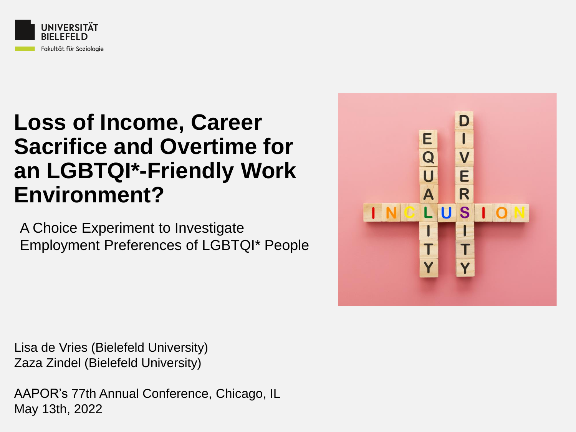

#### **Loss of Income, Career Sacrifice and Overtime for an LGBTQI\*-Friendly Work Environment?**

A Choice Experiment to Investigate Employment Preferences of LGBTQI\* People



Lisa de Vries (Bielefeld University) Zaza Zindel (Bielefeld University)

AAPOR's 77th Annual Conference, Chicago, IL May 13th, 2022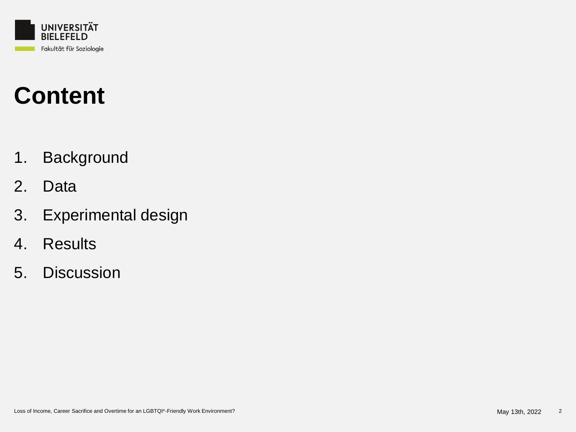

# **Content**

- 1. Background
- 2. Data
- 3. Experimental design
- 4. Results
- 5. Discussion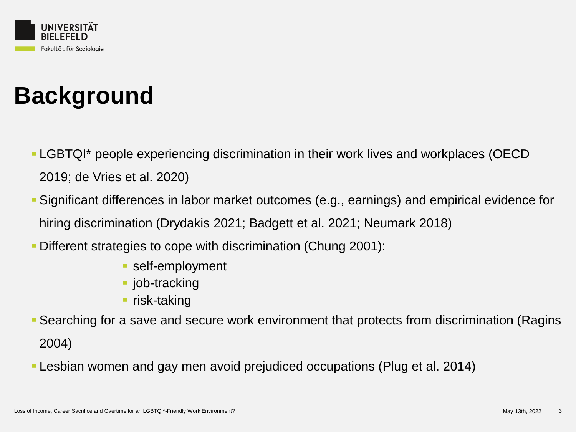

# **Background**

- **-LGBTQI\*** people experiencing discrimination in their work lives and workplaces (OECD 2019; de Vries et al. 2020)
- Significant differences in labor market outcomes (e.g., earnings) and empirical evidence for hiring discrimination (Drydakis 2021; Badgett et al. 2021; Neumark 2018)
- Different strategies to cope with discrimination (Chung 2001):
	- **E** self-employment
	- **job-tracking**
	- **·** risk-taking
- Searching for a save and secure work environment that protects from discrimination (Ragins 2004)
- Lesbian women and gay men avoid prejudiced occupations (Plug et al. 2014)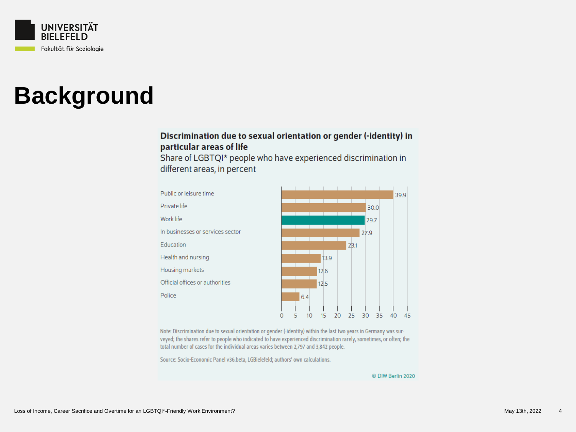

### **Background**

#### Discrimination due to sexual orientation or gender (-identity) in particular areas of life

Share of LGBTQI\* people who have experienced discrimination in different areas, in percent



Note: Discrimination due to sexual orientation or gender (-identity) within the last two years in Germany was surveyed; the shares refer to people who indicated to have experienced discrimination rarely, sometimes, or often; the total number of cases for the individual areas varies between 2,797 and 3,842 people.

Source: Socio-Economic Panel v36.beta, LGBielefeld; authors' own calculations.

© DIW Berlin 2020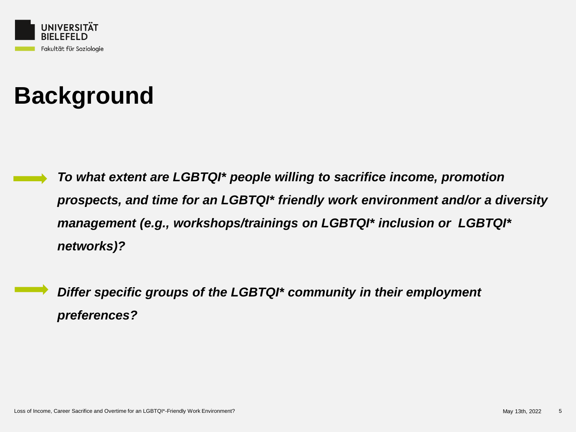

## **Background**

*To what extent are LGBTQI\* people willing to sacrifice income, promotion prospects, and time for an LGBTQI\* friendly work environment and/or a diversity management (e.g., workshops/trainings on LGBTQI\* inclusion or LGBTQI\* networks)?*

*Differ specific groups of the LGBTQI\* community in their employment preferences?*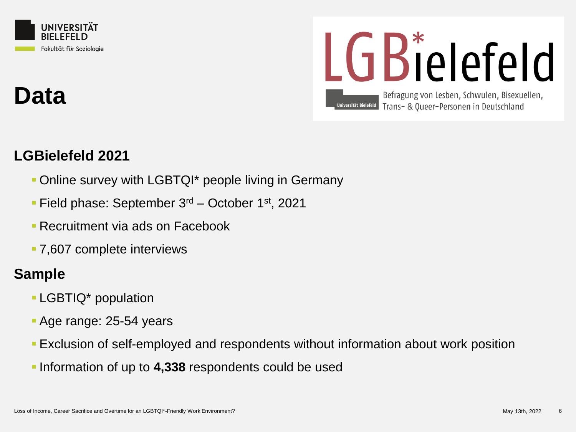



### **Data**

#### **LGBielefeld 2021**

- **Online survey with LGBTQI\* people living in Germany**
- **Field phase: September 3<sup>rd</sup> October 1<sup>st</sup>, 2021**
- **Execruitment via ads on Facebook**
- 7,607 complete interviews

#### **Sample**

- **ELGBTIQ\*** population
- **Age range: 25-54 years**
- **Exclusion of self-employed and respondents without information about work position**
- **.** Information of up to 4,338 respondents could be used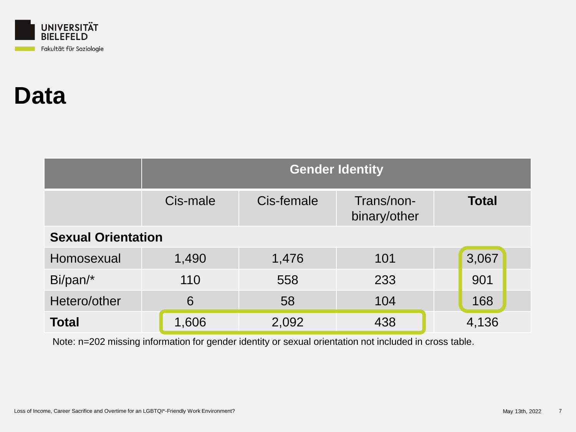

### **Data**

|                           | <b>Gender Identity</b> |            |                            |              |  |  |  |  |  |
|---------------------------|------------------------|------------|----------------------------|--------------|--|--|--|--|--|
|                           | Cis-male               | Cis-female | Trans/non-<br>binary/other | <b>Total</b> |  |  |  |  |  |
| <b>Sexual Orientation</b> |                        |            |                            |              |  |  |  |  |  |
| Homosexual                | 1,490                  | 1,476      | 101                        | 3,067        |  |  |  |  |  |
| Bi/pan/*                  | 110                    | 558        | 233                        | 901          |  |  |  |  |  |
| Hetero/other              | 6                      | 58         | 104                        | 168          |  |  |  |  |  |
| <b>Total</b>              | 1,606                  | 2,092      | 438                        | 4,136        |  |  |  |  |  |

Note: n=202 missing information for gender identity or sexual orientation not included in cross table.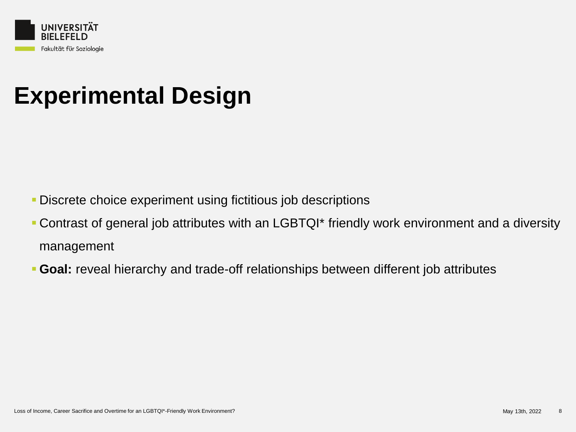

# **Experimental Design**

- **Discrete choice experiment using fictitious job descriptions**
- **Contrast of general job attributes with an LGBTQI\* friendly work environment and a diversity** management
- **Goal:** reveal hierarchy and trade-off relationships between different job attributes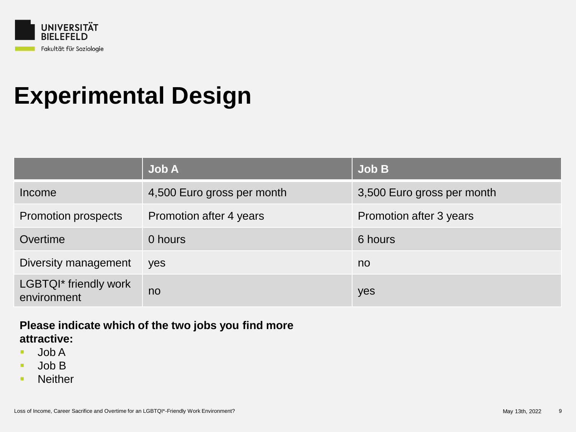

# **Experimental Design**

|                                      | <b>Job A</b>               | Job B                      |
|--------------------------------------|----------------------------|----------------------------|
| Income                               | 4,500 Euro gross per month | 3,500 Euro gross per month |
| <b>Promotion prospects</b>           | Promotion after 4 years    | Promotion after 3 years    |
| Overtime                             | 0 hours                    | 6 hours                    |
| Diversity management                 | yes                        | no                         |
| LGBTQI* friendly work<br>environment | no                         | yes                        |

#### **Please indicate which of the two jobs you find more attractive:**

- Job A
- Job B
- Neither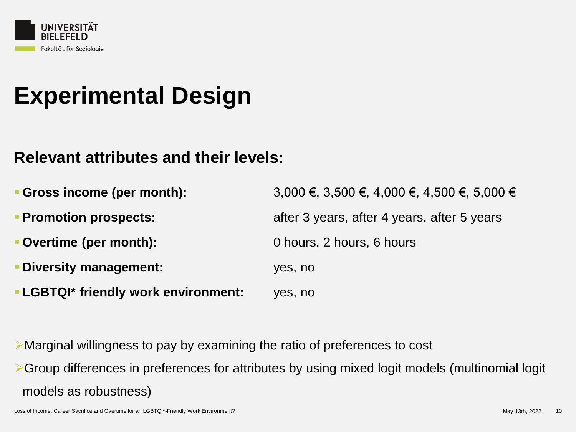

# **Experimental Design**

#### **Relevant attributes and their levels:**

| • Gross income (per month):                 | 3,000 €, 3,500 €, 4,000 €, 4,500 €, 5,000 € |  |  |  |  |
|---------------------------------------------|---------------------------------------------|--|--|--|--|
| <b>• Promotion prospects:</b>               | after 3 years, after 4 years, after 5 years |  |  |  |  |
| Overtime (per month):                       | 0 hours, 2 hours, 6 hours                   |  |  |  |  |
| <b>Diversity management:</b>                | yes, no                                     |  |  |  |  |
| <b>- LGBTQI* friendly work environment:</b> | yes, no                                     |  |  |  |  |

➢Marginal willingness to pay by examining the ratio of preferences to cost

➢Group differences in preferences for attributes by using mixed logit models (multinomial logit models as robustness)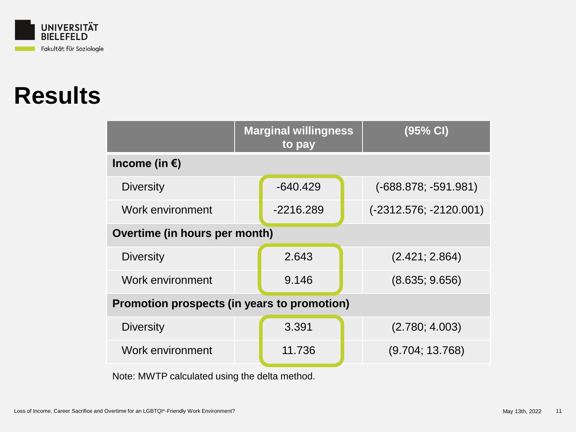

### **Results**

|                                             | <b>Marginal willingness</b><br>to pay |            |  | $(95%$ CI)               |  |  |  |  |
|---------------------------------------------|---------------------------------------|------------|--|--------------------------|--|--|--|--|
| Income (in $\epsilon$ )                     |                                       |            |  |                          |  |  |  |  |
| <b>Diversity</b>                            |                                       | $-640.429$ |  | $(-688.878; -591.981)$   |  |  |  |  |
| Work environment                            |                                       |            |  | $(-2312.576; -2120.001)$ |  |  |  |  |
| Overtime (in hours per month)               |                                       |            |  |                          |  |  |  |  |
| <b>Diversity</b>                            |                                       | 2.643      |  | (2.421; 2.864)           |  |  |  |  |
| Work environment                            |                                       | 9.146      |  | (8.635; 9.656)           |  |  |  |  |
| Promotion prospects (in years to promotion) |                                       |            |  |                          |  |  |  |  |
| <b>Diversity</b>                            |                                       | 3.391      |  | (2.780; 4.003)           |  |  |  |  |
| <b>Work environment</b>                     |                                       | 11.736     |  | (9.704; 13.768)          |  |  |  |  |

Note: MWTP calculated using the delta method.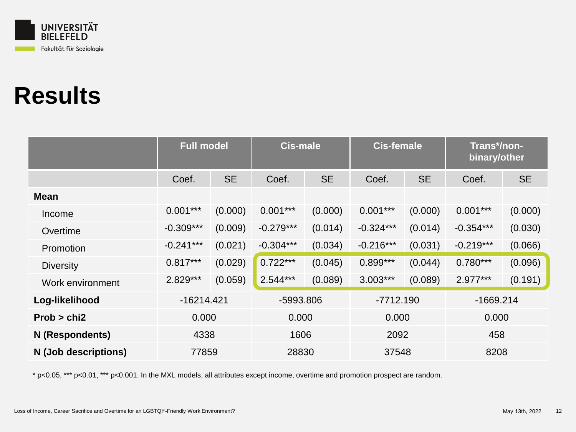

## **Results**

|                      | <b>Full model</b> |           | <b>Cis-male</b> |           | <b>Cis-female</b>      |         | Trans*/non-<br>binary/other |           |
|----------------------|-------------------|-----------|-----------------|-----------|------------------------|---------|-----------------------------|-----------|
|                      | Coef.             | <b>SE</b> | Coef.           | <b>SE</b> | <b>SE</b><br>Coef.     |         | Coef.                       | <b>SE</b> |
| <b>Mean</b>          |                   |           |                 |           |                        |         |                             |           |
| Income               | $0.001***$        | (0.000)   | $0.001***$      | (0.000)   | $0.001***$             | (0.000) | $0.001***$                  | (0.000)   |
| Overtime             | $-0.309***$       | (0.009)   | $-0.279***$     | (0.014)   | $-0.324***$            | (0.014) | $-0.354***$                 | (0.030)   |
| Promotion            | $-0.241***$       | (0.021)   | $-0.304***$     | (0.034)   | $-0.216***$<br>(0.031) |         | $-0.219***$                 | (0.066)   |
| <b>Diversity</b>     | $0.817***$        | (0.029)   | $0.722***$      | (0.045)   | $0.899***$             | (0.044) | $0.780***$                  | (0.096)   |
| Work environment     | 2.829***          | (0.059)   | 2.544***        | (0.089)   | $3.003***$             | (0.089) | 2.977***                    | (0.191)   |
| Log-likelihood       | $-16214.421$      |           | -5993.806       |           | $-7712.190$            |         | $-1669.214$                 |           |
| Prob > chi2          | 0.000             |           | 0.000           |           | 0.000                  |         | 0.000                       |           |
| N (Respondents)      | 4338              |           | 1606            |           | 2092                   |         | 458                         |           |
| N (Job descriptions) | 77859             |           |                 | 28830     | 37548                  |         | 8208                        |           |

\* p<0.05, \*\*\* p<0.01, \*\*\* p<0.001. In the MXL models, all attributes except income, overtime and promotion prospect are random.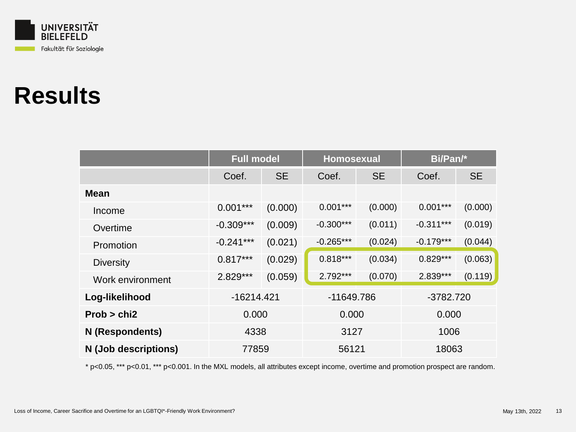

## **Results**

|                      | <b>Full model</b> |           | <b>Homosexual</b> |           | Bi/Pan/*    |           |
|----------------------|-------------------|-----------|-------------------|-----------|-------------|-----------|
|                      | Coef.             | <b>SE</b> | Coef.             | <b>SE</b> | Coef.       | <b>SE</b> |
| Mean                 |                   |           |                   |           |             |           |
| Income               | $0.001***$        | (0.000)   | $0.001***$        | (0.000)   | $0.001***$  | (0.000)   |
| Overtime             | $-0.309***$       | (0.009)   | $-0.300***$       | (0.011)   | $-0.311***$ | (0.019)   |
| Promotion            | $-0.241***$       | (0.021)   | $-0.265***$       | (0.024)   | $-0.179***$ | (0.044)   |
| <b>Diversity</b>     | $0.817***$        | (0.029)   | $0.818***$        | (0.034)   | $0.829***$  | (0.063)   |
| Work environment     | 2.829***          | (0.059)   | 2.792***          | (0.070)   | 2.839***    | (0.119)   |
| Log-likelihood       | $-16214.421$      |           | -11649.786        |           | -3782.720   |           |
| Prob > chi2          | 0.000             |           | 0.000             |           | 0.000       |           |
| N (Respondents)      | 4338              |           | 3127              |           | 1006        |           |
| N (Job descriptions) | 77859             |           | 56121             |           | 18063       |           |

\* p<0.05, \*\*\* p<0.01, \*\*\* p<0.001. In the MXL models, all attributes except income, overtime and promotion prospect are random.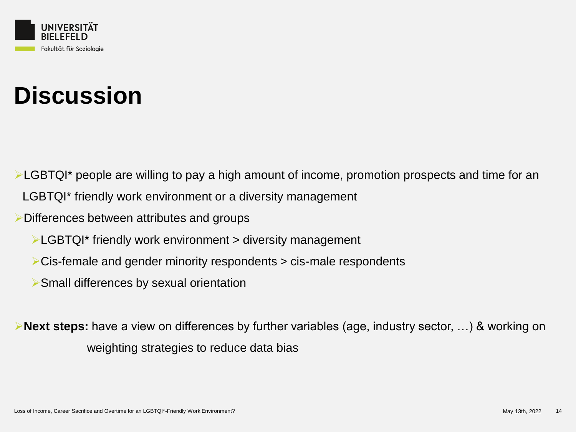

# **Discussion**

➢LGBTQI\* people are willing to pay a high amount of income, promotion prospects and time for an

LGBTQI\* friendly work environment or a diversity management

- ➢Differences between attributes and groups
	- ➢LGBTQI\* friendly work environment > diversity management
	- ➢Cis-female and gender minority respondents > cis-male respondents
	- ➢Small differences by sexual orientation

➢**Next steps:** have a view on differences by further variables (age, industry sector, …) & working on weighting strategies to reduce data bias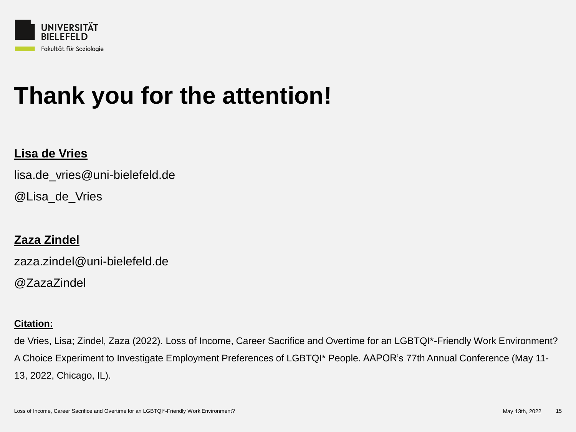

# **Thank you for the attention!**

#### **Lisa de Vries**

lisa.de\_vries@uni-bielefeld.de

@Lisa\_de\_Vries

#### **Zaza Zindel**

zaza.zindel@uni-bielefeld.de

@ZazaZindel

#### **Citation:**

de Vries, Lisa; Zindel, Zaza (2022). Loss of Income, Career Sacrifice and Overtime for an LGBTQI\*-Friendly Work Environment? A Choice Experiment to Investigate Employment Preferences of LGBTQI\* People. AAPOR's 77th Annual Conference (May 11- 13, 2022, Chicago, IL).